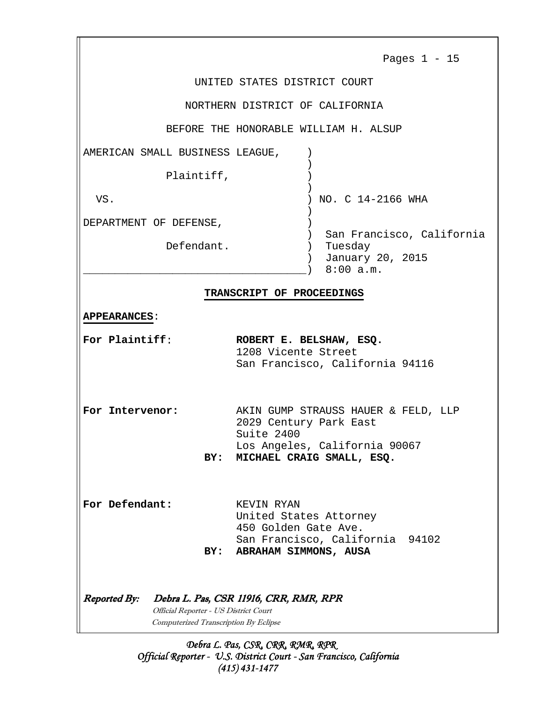|                                                                                                       | Pages $1 - 15$                                                                                                                            |
|-------------------------------------------------------------------------------------------------------|-------------------------------------------------------------------------------------------------------------------------------------------|
|                                                                                                       | UNITED STATES DISTRICT COURT                                                                                                              |
|                                                                                                       | NORTHERN DISTRICT OF CALIFORNIA                                                                                                           |
|                                                                                                       | BEFORE THE HONORABLE WILLIAM H. ALSUP                                                                                                     |
| AMERICAN SMALL BUSINESS LEAGUE,                                                                       |                                                                                                                                           |
| Plaintiff,                                                                                            |                                                                                                                                           |
| VS.                                                                                                   | NO. C 14-2166 WHA                                                                                                                         |
| DEPARTMENT OF DEFENSE,                                                                                |                                                                                                                                           |
| Defendant.                                                                                            | San Francisco, California<br>Tuesday<br>January 20, 2015<br>8:00 a.m.                                                                     |
| <b>APPEARANCES:</b><br>For Plaintiff:                                                                 | ROBERT E. BELSHAW, ESQ.<br>1208 Vicente Street<br>San Francisco, California 94116                                                         |
| For Intervenor:<br>BY:                                                                                | AKIN GUMP STRAUSS HAUER & FELD, LLP<br>2029 Century Park East<br>Suite 2400<br>Los Angeles, California 90067<br>MICHAEL CRAIG SMALL, ESQ. |
| For Defendant:<br>BY:                                                                                 | KEVIN RYAN<br>United States Attorney<br>450 Golden Gate Ave.<br>San Francisco, California 94102<br>ABRAHAM SIMMONS, AUSA                  |
| <b>Reported By:</b><br>Official Reporter - US District Court<br>Computerized Transcription By Eclipse | Debra L. Pas, CSR 11916, CRR, RMR, RPR                                                                                                    |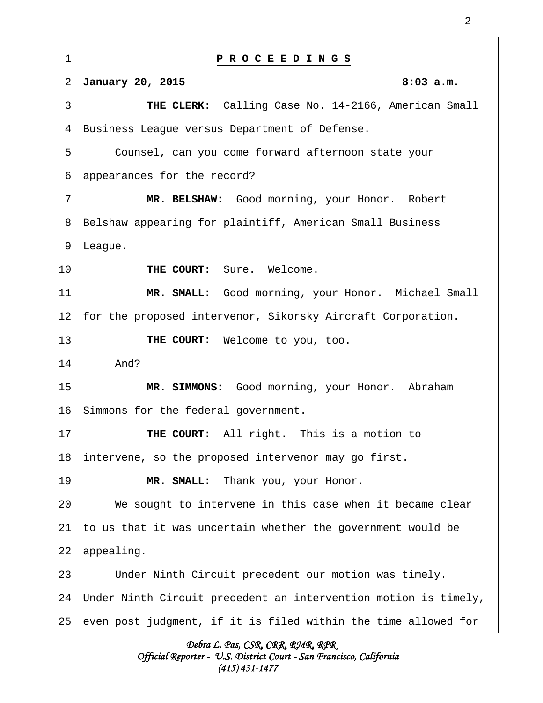| $\mathbf 1$ | PROCEEDINGS                                                     |
|-------------|-----------------------------------------------------------------|
| 2           | January 20, 2015<br>$8:03$ a.m.                                 |
| 3           | THE CLERK: Calling Case No. 14-2166, American Small             |
| 4           | Business League versus Department of Defense.                   |
| 5           | Counsel, can you come forward afternoon state your              |
| 6           | appearances for the record?                                     |
| 7           | MR. BELSHAW: Good morning, your Honor. Robert                   |
| 8           | Belshaw appearing for plaintiff, American Small Business        |
| $\mathsf 9$ | League.                                                         |
| 10          | THE COURT:<br>Sure. Welcome.                                    |
| 11          | MR. SMALL: Good morning, your Honor. Michael Small              |
| 12          | for the proposed intervenor, Sikorsky Aircraft Corporation.     |
| 13          | THE COURT: Welcome to you, too.                                 |
| 14          | And?                                                            |
| 15          | MR. SIMMONS: Good morning, your Honor. Abraham                  |
| 16          | Simmons for the federal government.                             |
| 17          | THE COURT: All right. This is a motion to                       |
| 18          | intervene, so the proposed intervenor may go first.             |
| 19          | Thank you, your Honor.<br>MR. SMALL:                            |
| 20          | We sought to intervene in this case when it became clear        |
| 21          | to us that it was uncertain whether the government would be     |
| 22          | appealing.                                                      |
| 23          | Under Ninth Circuit precedent our motion was timely.            |
| 24          | Under Ninth Circuit precedent an intervention motion is timely, |
| 25          | even post judgment, if it is filed within the time allowed for  |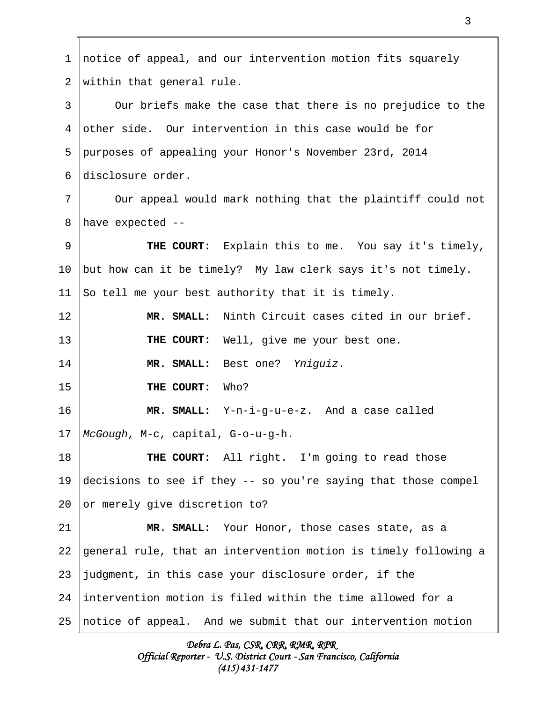notice of appeal, and our intervention motion fits squarely within that general rule. Our briefs make the case that there is no prejudice to the other side. Our intervention in this case would be for purposes of appealing your Honor's November 23rd, 2014 disclosure order. Our appeal would mark nothing that the plaintiff could not have expected -- **THE COURT:** Explain this to me. You say it's timely, but how can it be timely? My law clerk says it's not timely. So tell me your best authority that it is timely. **MR. SMALL:** Ninth Circuit cases cited in our brief. **THE COURT:** Well, give me your best one. **MR. SMALL:** Best one? Yniguiz. **THE COURT:** Who? **MR. SMALL:** Y-n-i-g-u-e-z. And a case called McGough, M-c, capital, G-o-u-g-h. **THE COURT:** All right. I'm going to read those decisions to see if they -- so you're saying that those compel or merely give discretion to? **MR. SMALL:** Your Honor, those cases state, as a general rule, that an intervention motion is timely following a judgment, in this case your disclosure order, if the intervention motion is filed within the time allowed for a notice of appeal. And we submit that our intervention motion 1 2 3 4 5 6 7 8 9 10 11 12 13 14 15 16 17 18 19  $20^{\circ}$ 21 22 23 24 25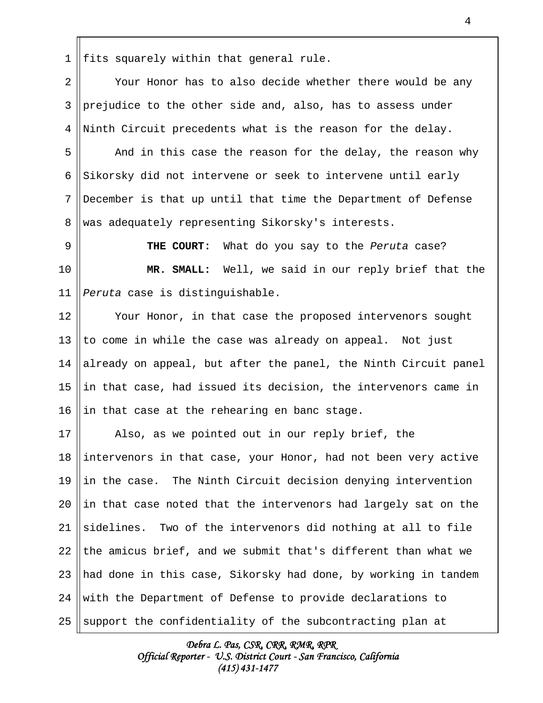fits squarely within that general rule. 1

Your Honor has to also decide whether there would be any prejudice to the other side and, also, has to assess under Ninth Circuit precedents what is the reason for the delay. 2 3 4

And in this case the reason for the delay, the reason why Sikorsky did not intervene or seek to intervene until early December is that up until that time the Department of Defense was adequately representing Sikorsky's interests. 5 6 7 8

**THE COURT:** What do you say to the Peruta case? **MR. SMALL:** Well, we said in our reply brief that the Peruta case is distinguishable. 9 10 11

Your Honor, in that case the proposed intervenors sought to come in while the case was already on appeal. Not just already on appeal, but after the panel, the Ninth Circuit panel in that case, had issued its decision, the intervenors came in in that case at the rehearing en banc stage. 12 13 14 15 16

Also, as we pointed out in our reply brief, the intervenors in that case, your Honor, had not been very active in the case. The Ninth Circuit decision denying intervention in that case noted that the intervenors had largely sat on the sidelines. Two of the intervenors did nothing at all to file the amicus brief, and we submit that's different than what we had done in this case, Sikorsky had done, by working in tandem with the Department of Defense to provide declarations to support the confidentiality of the subcontracting plan at 17 18 19 20 21 22 23 24 25

> Debra L. Pas, CSR, CRR, RMR, RPR Official Reporter - U.S. District Court - San Francisco, California (415) 431-1477

## 4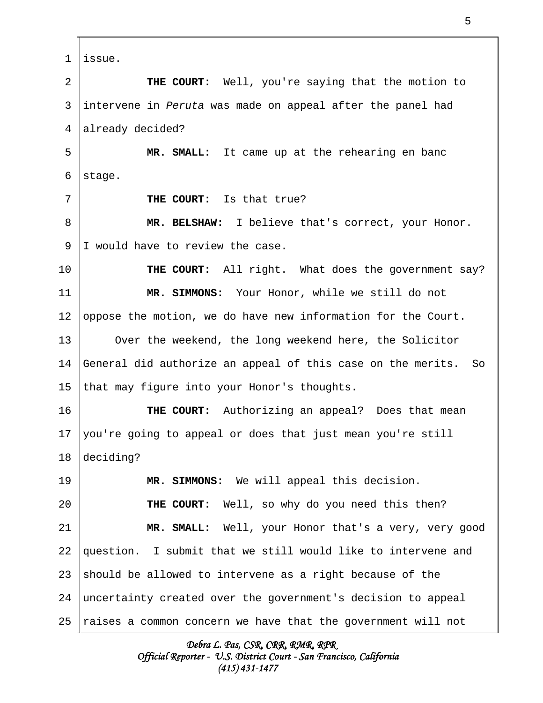issue. **THE COURT:** Well, you're saying that the motion to intervene in Peruta was made on appeal after the panel had already decided? **MR. SMALL:** It came up at the rehearing en banc stage. **THE COURT:** Is that true? **MR. BELSHAW:** I believe that's correct, your Honor. I would have to review the case. **THE COURT:** All right. What does the government say? **MR. SIMMONS:** Your Honor, while we still do not oppose the motion, we do have new information for the Court. Over the weekend, the long weekend here, the Solicitor General did authorize an appeal of this case on the merits. So that may figure into your Honor's thoughts. **THE COURT:** Authorizing an appeal? Does that mean you're going to appeal or does that just mean you're still deciding? **MR. SIMMONS:** We will appeal this decision. **THE COURT:** Well, so why do you need this then? **MR. SMALL:** Well, your Honor that's a very, very good question. I submit that we still would like to intervene and should be allowed to intervene as a right because of the uncertainty created over the government's decision to appeal raises a common concern we have that the government will not 1 2 3 4 5 6 7 8 9 10 11 12 13 14 15 16 17 18 19  $2.0$ 21 22 23 24 25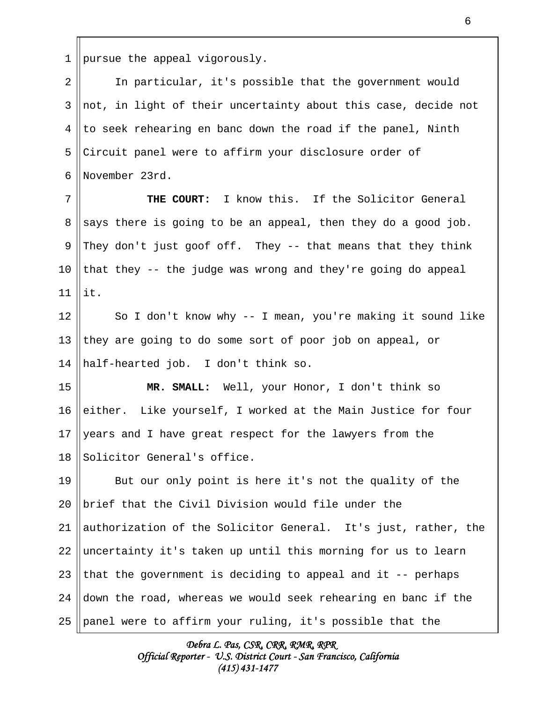pursue the appeal vigorously. 1

In particular, it's possible that the government would not, in light of their uncertainty about this case, decide not to seek rehearing en banc down the road if the panel, Ninth Circuit panel were to affirm your disclosure order of November 23rd. 2 3 4 5 6

**THE COURT:** I know this. If the Solicitor General says there is going to be an appeal, then they do a good job. They don't just goof off. They -- that means that they think that they -- the judge was wrong and they're going do appeal it. 7 8 9 10 11

So I don't know why -- I mean, you're making it sound like they are going to do some sort of poor job on appeal, or half-hearted job. I don't think so. 12 13 14

**MR. SMALL:** Well, your Honor, I don't think so either. Like yourself, I worked at the Main Justice for four years and I have great respect for the lawyers from the Solicitor General's office. 15 16 17 18

But our only point is here it's not the quality of the brief that the Civil Division would file under the authorization of the Solicitor General. It's just, rather, the uncertainty it's taken up until this morning for us to learn that the government is deciding to appeal and it -- perhaps down the road, whereas we would seek rehearing en banc if the panel were to affirm your ruling, it's possible that the 19 20 21 22 23 24 25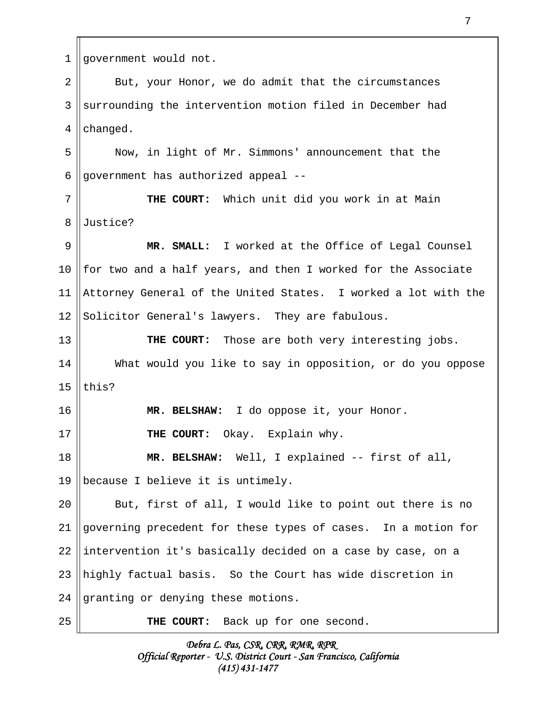| 1  | government would not.                                          |
|----|----------------------------------------------------------------|
| 2  | But, your Honor, we do admit that the circumstances            |
| 3  | surrounding the intervention motion filed in December had      |
| 4  | changed.                                                       |
| 5  | Now, in light of Mr. Simmons' announcement that the            |
| 6  | government has authorized appeal --                            |
| 7  | THE COURT: Which unit did you work in at Main                  |
| 8  | Justice?                                                       |
| 9  | MR. SMALL: I worked at the Office of Legal Counsel             |
| 10 | for two and a half years, and then I worked for the Associate  |
| 11 | Attorney General of the United States. I worked a lot with the |
| 12 | Solicitor General's lawyers. They are fabulous.                |
| 13 | <b>THE COURT:</b> Those are both very interesting jobs.        |
| 14 | What would you like to say in opposition, or do you oppose     |
| 15 | this?                                                          |
| 16 | MR. BELSHAW: I do oppose it, your Honor.                       |
| 17 | THE COURT: Okay. Explain why.                                  |
| 18 | MR. BELSHAW: Well, I explained -- first of all,                |
| 19 | because I believe it is untimely.                              |
| 20 | But, first of all, I would like to point out there is no       |
| 21 | governing precedent for these types of cases. In a motion for  |
| 22 | intervention it's basically decided on a case by case, on a    |
| 23 | highly factual basis. So the Court has wide discretion in      |
| 24 | granting or denying these motions.                             |
| 25 | THE COURT: Back up for one second.                             |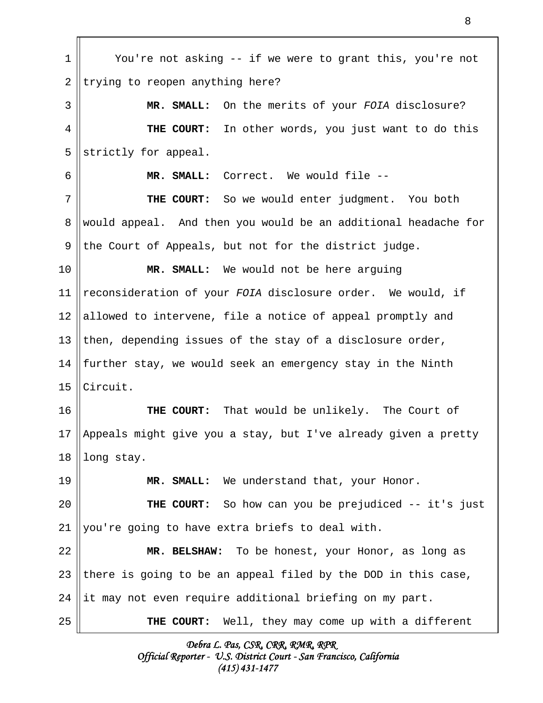You're not asking -- if we were to grant this, you're not trying to reopen anything here? **MR. SMALL:** On the merits of your FOIA disclosure? **THE COURT:** In other words, you just want to do this strictly for appeal. **MR. SMALL:** Correct. We would file -- **THE COURT:** So we would enter judgment. You both would appeal. And then you would be an additional headache for the Court of Appeals, but not for the district judge. **MR. SMALL:** We would not be here arguing reconsideration of your FOIA disclosure order. We would, if allowed to intervene, file a notice of appeal promptly and then, depending issues of the stay of a disclosure order, further stay, we would seek an emergency stay in the Ninth Circuit. **THE COURT:** That would be unlikely. The Court of Appeals might give you a stay, but I've already given a pretty long stay. **MR. SMALL:** We understand that, your Honor. **THE COURT:** So how can you be prejudiced -- it's just you're going to have extra briefs to deal with. **MR. BELSHAW:** To be honest, your Honor, as long as there is going to be an appeal filed by the DOD in this case, it may not even require additional briefing on my part. **THE COURT:** Well, they may come up with a different 1 2 3 4 5 6 7 8 9 10 11 12 13 14 15 16 17 18 19 20 21 22 23 24 25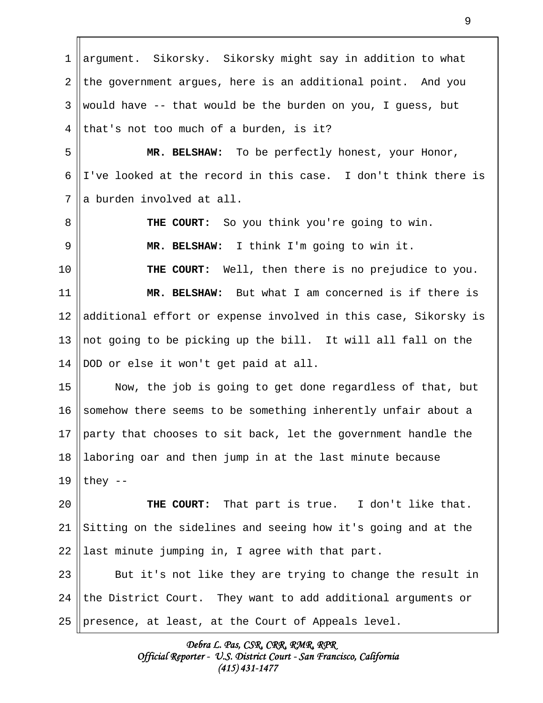argument. Sikorsky. Sikorsky might say in addition to what the government argues, here is an additional point. And you would have -- that would be the burden on you, I guess, but that's not too much of a burden, is it? **MR. BELSHAW:** To be perfectly honest, your Honor, I've looked at the record in this case. I don't think there is a burden involved at all. **THE COURT:** So you think you're going to win. **MR. BELSHAW:** I think I'm going to win it. **THE COURT:** Well, then there is no prejudice to you. **MR. BELSHAW:** But what I am concerned is if there is additional effort or expense involved in this case, Sikorsky is not going to be picking up the bill. It will all fall on the DOD or else it won't get paid at all. Now, the job is going to get done regardless of that, but somehow there seems to be something inherently unfair about a party that chooses to sit back, let the government handle the laboring oar and then jump in at the last minute because they -- **THE COURT:** That part is true. I don't like that. Sitting on the sidelines and seeing how it's going and at the last minute jumping in, I agree with that part. But it's not like they are trying to change the result in the District Court. They want to add additional arguments or presence, at least, at the Court of Appeals level. 1 2 3 4 5 6 7 8 9 10 11 12 13 14 15 16 17 18 19 20 21 22 23 24 25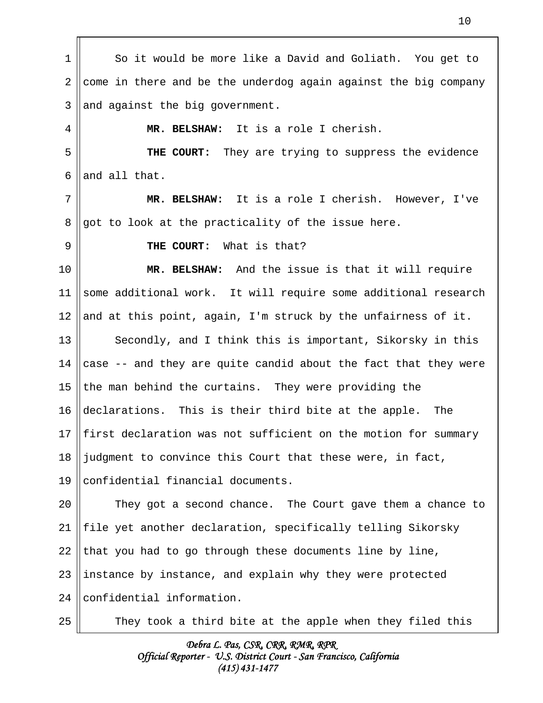| 1  | So it would be more like a David and Goliath. You get to                      |
|----|-------------------------------------------------------------------------------|
| 2  | come in there and be the underdog again against the big company               |
| 3  | and against the big government.                                               |
| 4  | MR. BELSHAW: It is a role I cherish.                                          |
| 5  | THE COURT: They are trying to suppress the evidence                           |
| 6  | and all that.                                                                 |
| 7  | MR. BELSHAW: It is a role I cherish. However, I've                            |
| 8  | got to look at the practicality of the issue here.                            |
| 9  | THE COURT: What is that?                                                      |
| 10 | MR. BELSHAW: And the issue is that it will require                            |
| 11 | some additional work. It will require some additional research                |
| 12 | and at this point, again, I'm struck by the unfairness of it.                 |
| 13 | Secondly, and I think this is important, Sikorsky in this                     |
| 14 | case -- and they are quite candid about the fact that they were               |
| 15 | the man behind the curtains. They were providing the                          |
| 16 | declarations. This is their third bite at the apple. The                      |
|    | 17 $\parallel$ first declaration was not sufficient on the motion for summary |
| 18 | judgment to convince this Court that these were, in fact,                     |
| 19 | confidential financial documents.                                             |
| 20 | They got a second chance. The Court gave them a chance to                     |
| 21 | file yet another declaration, specifically telling Sikorsky                   |
| 22 | that you had to go through these documents line by line,                      |
| 23 | instance by instance, and explain why they were protected                     |
| 24 | confidential information.                                                     |
| 25 | They took a third bite at the apple when they filed this                      |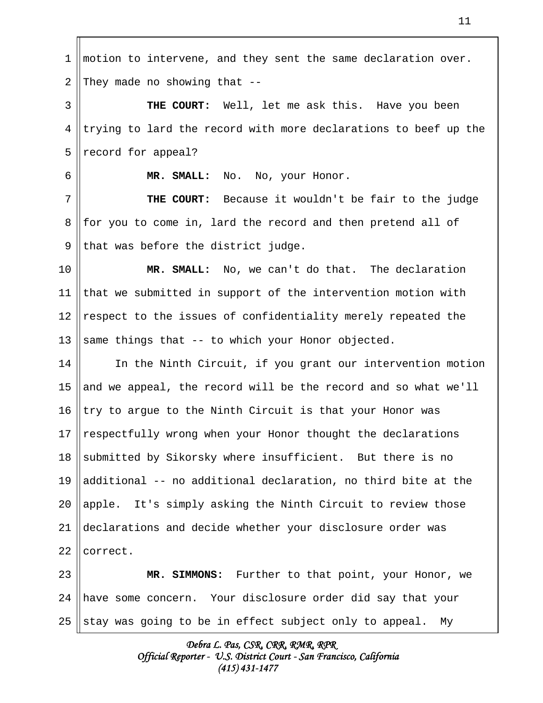motion to intervene, and they sent the same declaration over. They made no showing that -- **THE COURT:** Well, let me ask this. Have you been trying to lard the record with more declarations to beef up the record for appeal? **MR. SMALL:** No. No, your Honor. **THE COURT:** Because it wouldn't be fair to the judge for you to come in, lard the record and then pretend all of that was before the district judge. **MR. SMALL:** No, we can't do that. The declaration that we submitted in support of the intervention motion with respect to the issues of confidentiality merely repeated the same things that -- to which your Honor objected. In the Ninth Circuit, if you grant our intervention motion and we appeal, the record will be the record and so what we'll try to argue to the Ninth Circuit is that your Honor was respectfully wrong when your Honor thought the declarations submitted by Sikorsky where insufficient. But there is no additional -- no additional declaration, no third bite at the apple. It's simply asking the Ninth Circuit to review those declarations and decide whether your disclosure order was correct. **MR. SIMMONS:** Further to that point, your Honor, we have some concern. Your disclosure order did say that your stay was going to be in effect subject only to appeal. My 1 2 3 4 5 6 7 8 9 10 11 12 13 14 15 16 17 18 19 20 21 22 23 24 25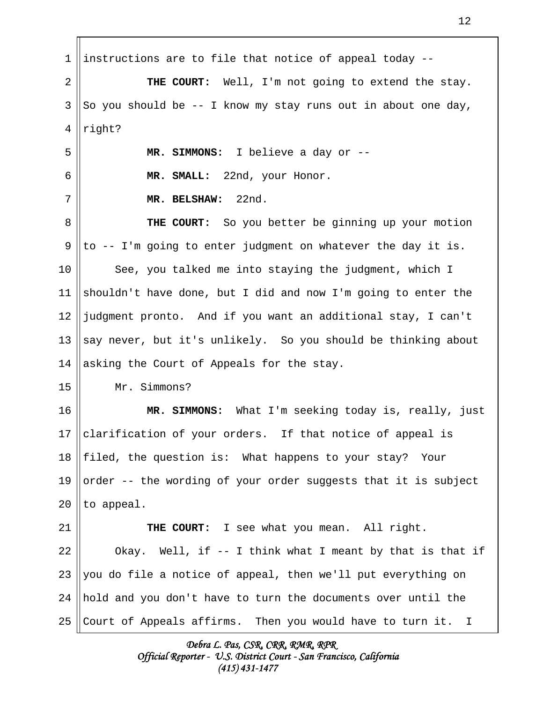instructions are to file that notice of appeal today -- **THE COURT:** Well, I'm not going to extend the stay. So you should be -- I know my stay runs out in about one day, right? **MR. SIMMONS:** I believe a day or -- **MR. SMALL:** 22nd, your Honor. **MR. BELSHAW:** 22nd. **THE COURT:** So you better be ginning up your motion to -- I'm going to enter judgment on whatever the day it is. See, you talked me into staying the judgment, which I shouldn't have done, but I did and now I'm going to enter the judgment pronto. And if you want an additional stay, I can't say never, but it's unlikely. So you should be thinking about asking the Court of Appeals for the stay. Mr. Simmons? **MR. SIMMONS:** What I'm seeking today is, really, just clarification of your orders. If that notice of appeal is filed, the question is: What happens to your stay? Your order -- the wording of your order suggests that it is subject to appeal. **THE COURT:** I see what you mean. All right. Okay. Well, if -- I think what I meant by that is that if you do file a notice of appeal, then we'll put everything on hold and you don't have to turn the documents over until the Court of Appeals affirms. Then you would have to turn it. I 1 2 3 4 5 6 7 8 9 10 11 12 13 14 15 16 17 18 19 20 21 22 23 24 25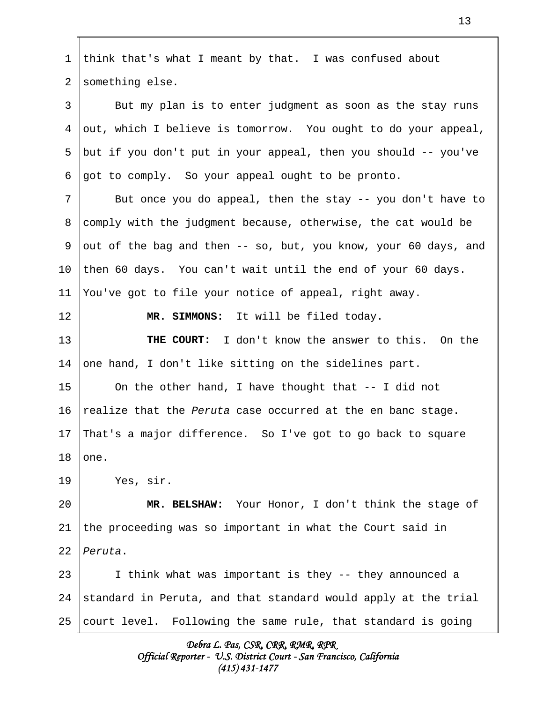| 1               | think that's what I meant by that. I was confused about         |
|-----------------|-----------------------------------------------------------------|
| 2               | something else.                                                 |
| 3               | But my plan is to enter judgment as soon as the stay runs       |
| 4               | out, which I believe is tomorrow. You ought to do your appeal,  |
| 5               | but if you don't put in your appeal, then you should -- you've  |
| 6               | got to comply. So your appeal ought to be pronto.               |
| 7               | But once you do appeal, then the stay -- you don't have to      |
| 8               | comply with the judgment because, otherwise, the cat would be   |
| 9               | out of the bag and then -- so, but, you know, your 60 days, and |
| 10              | then 60 days. You can't wait until the end of your 60 days.     |
| 11              | You've got to file your notice of appeal, right away.           |
| 12              | MR. SIMMONS: It will be filed today.                            |
| 13              | THE COURT: I don't know the answer to this. On the              |
| 14              | one hand, I don't like sitting on the sidelines part.           |
| 15              | On the other hand, I have thought that -- I did not             |
| 16              | realize that the Peruta case occurred at the en banc stage.     |
| 17 <sup>1</sup> | That's a major difference. So I've got to go back to square     |
| 18              | one.                                                            |
| 19              | Yes, sir.                                                       |
| 20              | MR. BELSHAW: Your Honor, I don't think the stage of             |
| 21              | the proceeding was so important in what the Court said in       |
| 22              | Peruta.                                                         |
| 23              | I think what was important is they -- they announced a          |
| 24              | standard in Peruta, and that standard would apply at the trial  |
| 25              | court level. Following the same rule, that standard is going    |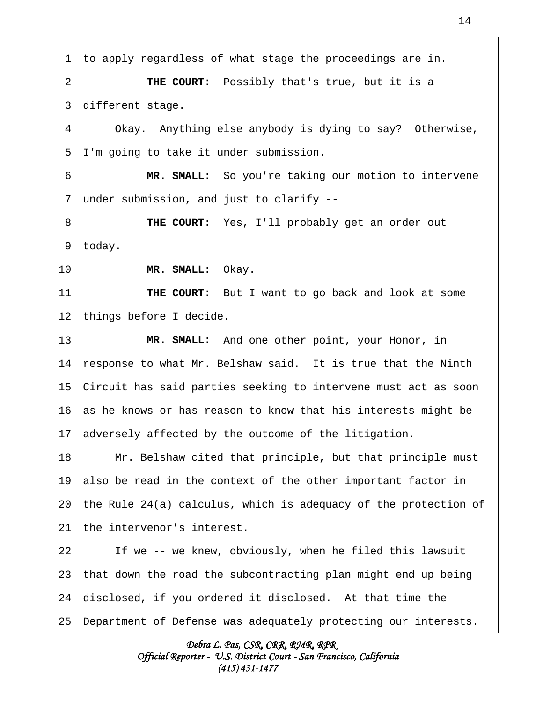to apply regardless of what stage the proceedings are in. **THE COURT:** Possibly that's true, but it is a different stage. Okay. Anything else anybody is dying to say? Otherwise, I'm going to take it under submission. **MR. SMALL:** So you're taking our motion to intervene under submission, and just to clarify -- **THE COURT:** Yes, I'll probably get an order out today. **MR. SMALL:** Okay. **THE COURT:** But I want to go back and look at some things before I decide. **MR. SMALL:** And one other point, your Honor, in response to what Mr. Belshaw said. It is true that the Ninth Circuit has said parties seeking to intervene must act as soon as he knows or has reason to know that his interests might be adversely affected by the outcome of the litigation. Mr. Belshaw cited that principle, but that principle must also be read in the context of the other important factor in the Rule 24(a) calculus, which is adequacy of the protection of the intervenor's interest. If we -- we knew, obviously, when he filed this lawsuit that down the road the subcontracting plan might end up being disclosed, if you ordered it disclosed. At that time the Department of Defense was adequately protecting our interests. 1 2 3 4 5 6 7 8 9 10 11 12 13 14 15 16 17 18 19 20 21 22 23 24 25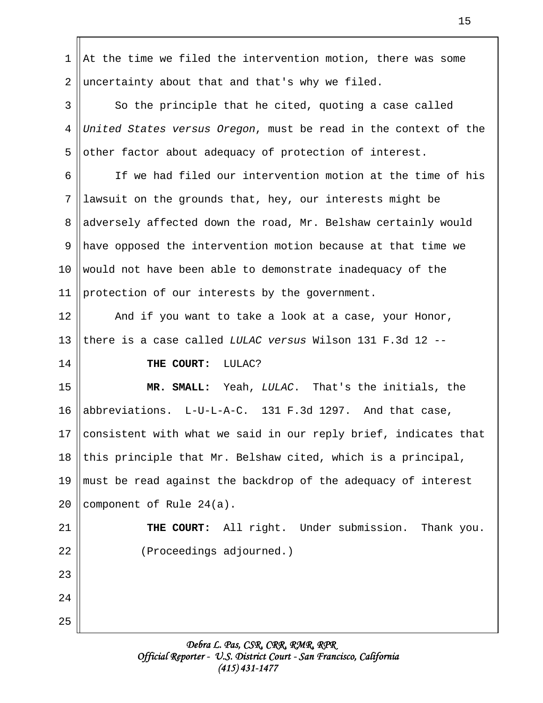At the time we filed the intervention motion, there was some uncertainty about that and that's why we filed. So the principle that he cited, quoting a case called United States versus Oregon, must be read in the context of the other factor about adequacy of protection of interest. If we had filed our intervention motion at the time of his lawsuit on the grounds that, hey, our interests might be adversely affected down the road, Mr. Belshaw certainly would have opposed the intervention motion because at that time we would not have been able to demonstrate inadequacy of the protection of our interests by the government. And if you want to take a look at a case, your Honor, there is a case called LULAC versus Wilson 131 F.3d 12 -- THE COURT: LULAC? **MR. SMALL:** Yeah, LULAC. That's the initials, the abbreviations. L-U-L-A-C. 131 F.3d 1297. And that case, consistent with what we said in our reply brief, indicates that this principle that Mr. Belshaw cited, which is a principal, must be read against the backdrop of the adequacy of interest component of Rule 24(a). **THE COURT:** All right. Under submission. Thank you. (Proceedings adjourned.) 1 2 3 4 5 6 7 8 9 10 11 12 13 14 15 16 17 18 19 20 21 22 23 24 25